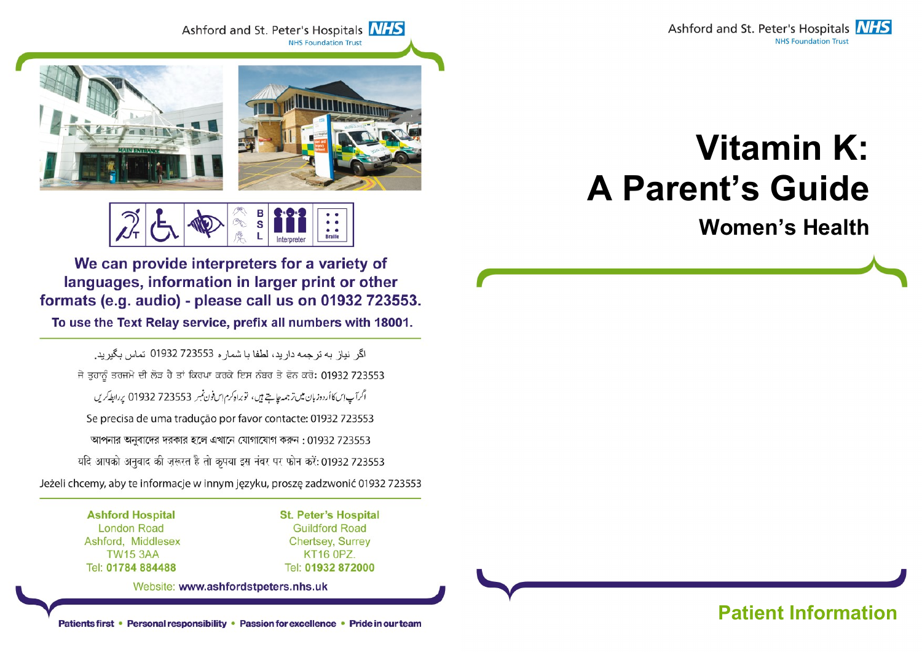

Ashford and St. Peter's Hospitals **NHS NHS Foundation Trust** 



в  $\mathbf{s}$ **Braille** 

We can provide interpreters for a variety of languages, information in larger print or other formats (e.g. audio) - please call us on 01932 723553.

To use the Text Relay service, prefix all numbers with 18001.

اگر نياز به تر جمه دار بد، لطفا با شمار ه 723553 01932 تماس بگير بد. ਜੇ ਤਹਾਨੂੰ ਤਰਜਮੇ ਦੀ ਲੋੜ ਹੈ ਤਾਂ ਕਿਰਪਾ ਕਰਕੇ ਇਸ ਨੰਬਰ ਤੇ ਫੋਨ ਕਰੋ: 01932 723553 اگرآپ این کا اُردوزبان میں تر جمہ چاہتے ہیں، توبراہ کرم اِس فون نمبر 723553 01932 پر ابطہ کریں Se precisa de uma tradução por favor contacte: 01932 723553 আপনার অনুবাদের দরকার হলে এখানে যোগাযোগ করুন: 01932 723553 यदि आपको अनुवाद की ज़रूरत है तो कृपया इस नंबर पर फोन करें: 01932 723553 Jeżeli chcemy, aby te informacje w innym języku, proszę zadzwonić 01932 723553

> **Ashford Hospital London Road** Ashford, Middlesex **TW15 3AA** Tel: 01784 884488

**St. Peter's Hospital Guildford Road Chertsey, Surrey KT16 0PZ.** Tel: 01932 872000

Website: www.ashfordstpeters.nhs.uk

# Vitamin K: A Parent's Guide

Women's Health

# Patients first • Personal responsibility • Passion for excellence • Pride in our team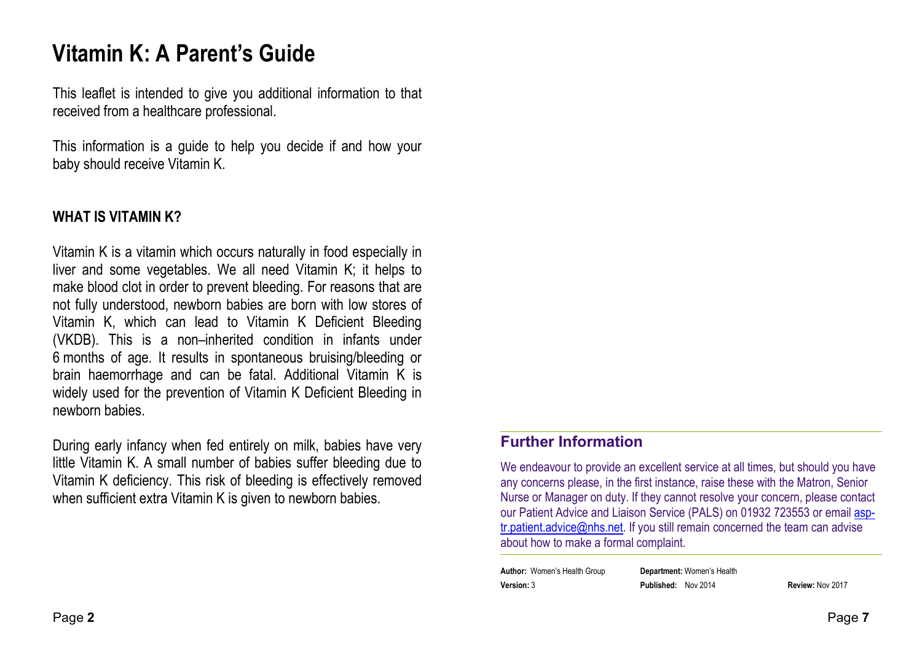# Vitamin K: A Parent's Guide

This leaflet is intended to give you additional information to that received from a healthcare professional.

This information is a guide to help you decide if and how your baby should receive Vitamin K.

#### WHAT IS VITAMIN K?

Vitamin K is a vitamin which occurs naturally in food especially in liver and some vegetables. We all need Vitamin K; it helps to make blood clot in order to prevent bleeding. For reasons that are not fully understood, newborn babies are born with low stores of Vitamin K, which can lead to Vitamin K Deficient Bleeding (VKDB). This is a non–inherited condition in infants under 6 months of age. It results in spontaneous bruising/bleeding or brain haemorrhage and can be fatal. Additional Vitamin K is widely used for the prevention of Vitamin K Deficient Bleeding in newborn babies.

During early infancy when fed entirely on milk, babies have very little Vitamin K. A small number of babies suffer bleeding due to Vitamin K deficiency. This risk of bleeding is effectively removed when sufficient extra Vitamin K is given to newborn babies.

#### Further Information

We endeavour to provide an excellent service at all times, but should you have any concerns please, in the first instance, raise these with the Matron, Senior Nurse or Manager on duty. If they cannot resolve your concern, please contact our Patient Advice and Liaison Service (PALS) on 01932 723553 or email asptr.patient.advice@nhs.net. If you still remain concerned the team can advise about how to make a formal complaint.

| <b>Author:</b> Women's Health Group | <b>Department:</b> Women's Health |                  |
|-------------------------------------|-----------------------------------|------------------|
| Version: 3                          | <b>Published: Nov 2014</b>        | Review: Nov 2017 |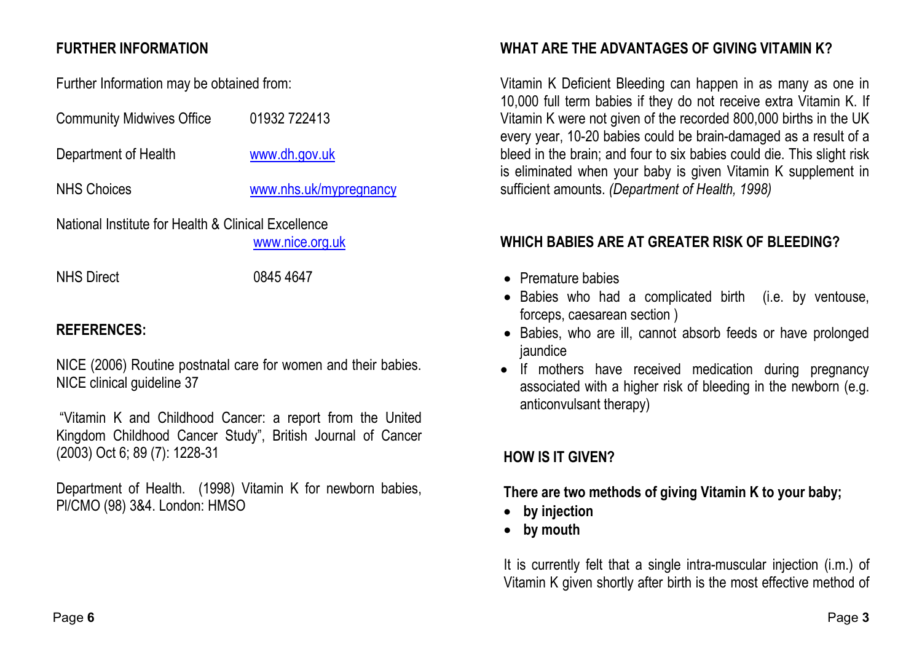## FURTHER INFORMATION

Further Information may be obtained from:

| <b>Community Midwives Office</b>                                       | 01932 722413           |  |
|------------------------------------------------------------------------|------------------------|--|
| Department of Health                                                   | www.dh.gov.uk          |  |
| <b>NHS Choices</b>                                                     | www.nhs.uk/mypregnancy |  |
| National Institute for Health & Clinical Excellence<br>www.nice.org.uk |                        |  |

NHS Direct 0845 4647

# REFERENCES:

NICE (2006) Routine postnatal care for women and their babies. NICE clinical guideline 37

 "Vitamin K and Childhood Cancer: a report from the United Kingdom Childhood Cancer Study", British Journal of Cancer (2003) Oct 6; 89 (7): 1228-31

Department of Health. (1998) Vitamin K for newborn babies, Pl/CMO (98) 3&4. London: HMSO

## WHAT ARE THE ADVANTAGES OF GIVING VITAMIN K?

Vitamin K Deficient Bleeding can happen in as many as one in 10,000 full term babies if they do not receive extra Vitamin K. If Vitamin K were not given of the recorded 800,000 births in the UK every year, 10-20 babies could be brain-damaged as a result of a bleed in the brain; and four to six babies could die. This slight risk is eliminated when your baby is given Vitamin K supplement in sufficient amounts. (Department of Health, 1998)

## WHICH BABIES ARE AT GREATER RISK OF BLEEDING?

- Premature babies
- Babies who had a complicated birth (i.e. by ventouse, forceps, caesarean section )
- Babies, who are ill, cannot absorb feeds or have prolonged jaundice
- If mothers have received medication during pregnancy associated with a higher risk of bleeding in the newborn (e.g. anticonvulsant therapy)

# HOW IS IT GIVEN?

There are two methods of giving Vitamin K to your baby;

- by injection
- by mouth

It is currently felt that a single intra-muscular injection (i.m.) of Vitamin K given shortly after birth is the most effective method of